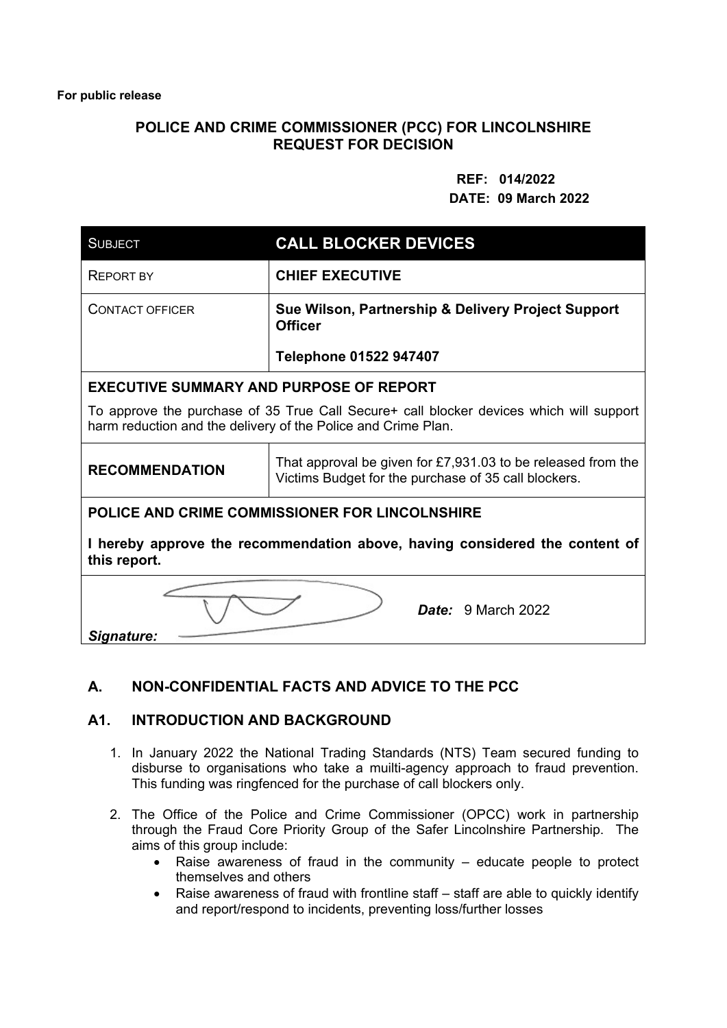# **POLICE AND CRIME COMMISSIONER (PCC) FOR LINCOLNSHIRE REQUEST FOR DECISION**

#### **REF: 014/2022 DATE: 09 March 2022**

| <b>SUBJECT</b>                                                                                                                                           | <b>CALL BLOCKER DEVICES</b>                                                                                            |  |
|----------------------------------------------------------------------------------------------------------------------------------------------------------|------------------------------------------------------------------------------------------------------------------------|--|
| <b>REPORT BY</b>                                                                                                                                         | <b>CHIEF EXECUTIVE</b>                                                                                                 |  |
| <b>CONTACT OFFICER</b>                                                                                                                                   | Sue Wilson, Partnership & Delivery Project Support<br><b>Officer</b>                                                   |  |
|                                                                                                                                                          | <b>Telephone 01522 947407</b>                                                                                          |  |
| <b>EXECUTIVE SUMMARY AND PURPOSE OF REPORT</b>                                                                                                           |                                                                                                                        |  |
| To approve the purchase of 35 True Call Secure+ call blocker devices which will support<br>harm reduction and the delivery of the Police and Crime Plan. |                                                                                                                        |  |
| <b>RECOMMENDATION</b>                                                                                                                                    | That approval be given for $£7,931.03$ to be released from the<br>Victims Budget for the purchase of 35 call blockers. |  |
| POLICE AND CRIME COMMISSIONER FOR LINCOLNSHIRE                                                                                                           |                                                                                                                        |  |
| I hereby approve the recommendation above, having considered the content of<br>this report.                                                              |                                                                                                                        |  |
| <b>Date:</b> 9 March 2022<br>Signature:                                                                                                                  |                                                                                                                        |  |

# **A. NON-CONFIDENTIAL FACTS AND ADVICE TO THE PCC**

# **A1. INTRODUCTION AND BACKGROUND**

- 1. In January 2022 the National Trading Standards (NTS) Team secured funding to disburse to organisations who take a muilti-agency approach to fraud prevention. This funding was ringfenced for the purchase of call blockers only.
- 2. The Office of the Police and Crime Commissioner (OPCC) work in partnership through the Fraud Core Priority Group of the Safer Lincolnshire Partnership. The aims of this group include:
	- Raise awareness of fraud in the community educate people to protect themselves and others
	- Raise awareness of fraud with frontline staff staff are able to quickly identify and report/respond to incidents, preventing loss/further losses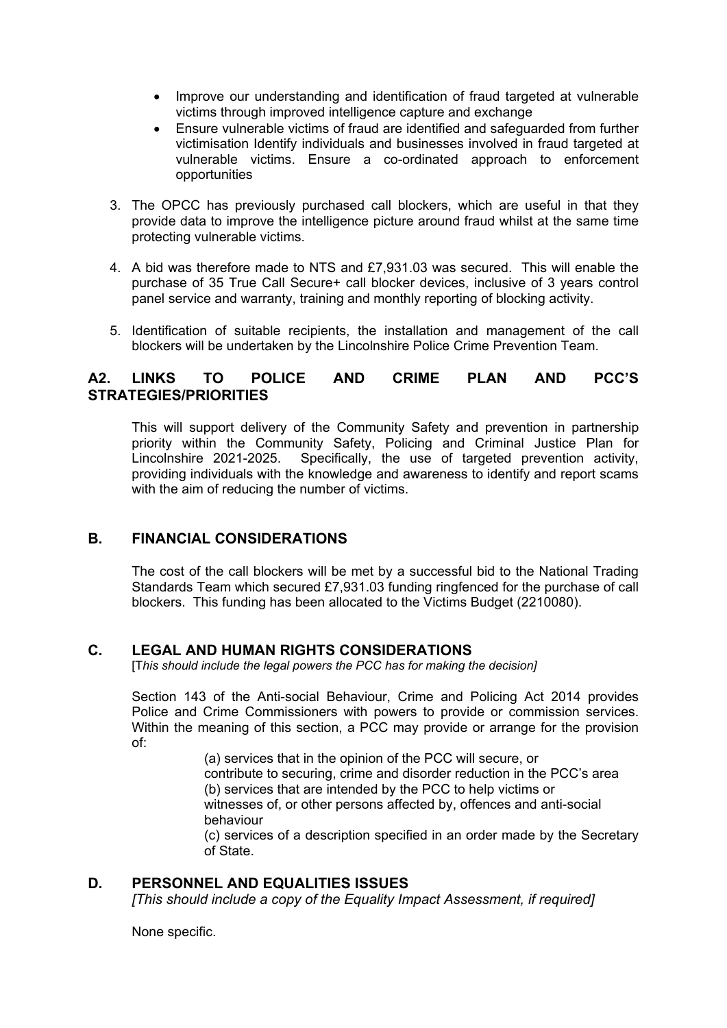- Improve our understanding and identification of fraud targeted at vulnerable victims through improved intelligence capture and exchange
- Ensure vulnerable victims of fraud are identified and safeguarded from further victimisation Identify individuals and businesses involved in fraud targeted at vulnerable victims. Ensure a co-ordinated approach to enforcement opportunities
- 3. The OPCC has previously purchased call blockers, which are useful in that they provide data to improve the intelligence picture around fraud whilst at the same time protecting vulnerable victims.
- 4. A bid was therefore made to NTS and £7,931.03 was secured. This will enable the purchase of 35 True Call Secure+ call blocker devices, inclusive of 3 years control panel service and warranty, training and monthly reporting of blocking activity.
- 5. Identification of suitable recipients, the installation and management of the call blockers will be undertaken by the Lincolnshire Police Crime Prevention Team.

# **A2. LINKS TO POLICE AND CRIME PLAN AND PCC'S STRATEGIES/PRIORITIES**

This will support delivery of the Community Safety and prevention in partnership priority within the Community Safety, Policing and Criminal Justice Plan for Lincolnshire 2021-2025. Specifically, the use of targeted prevention activity, providing individuals with the knowledge and awareness to identify and report scams with the aim of reducing the number of victims.

# **B. FINANCIAL CONSIDERATIONS**

The cost of the call blockers will be met by a successful bid to the National Trading Standards Team which secured £7,931.03 funding ringfenced for the purchase of call blockers. This funding has been allocated to the Victims Budget (2210080).

# **C. LEGAL AND HUMAN RIGHTS CONSIDERATIONS**

[T*his should include the legal powers the PCC has for making the decision]*

Section 143 of the Anti-social Behaviour, Crime and Policing Act 2014 provides Police and Crime Commissioners with powers to provide or commission services. Within the meaning of this section, a PCC may provide or arrange for the provision of:

(a) services that in the opinion of the PCC will secure, or contribute to securing, crime and disorder reduction in the PCC's area (b) services that are intended by the PCC to help victims or witnesses of, or other persons affected by, offences and anti-social behaviour

(c) services of a description specified in an order made by the Secretary of State.

# **D. PERSONNEL AND EQUALITIES ISSUES**

*[This should include a copy of the Equality Impact Assessment, if required]* 

None specific.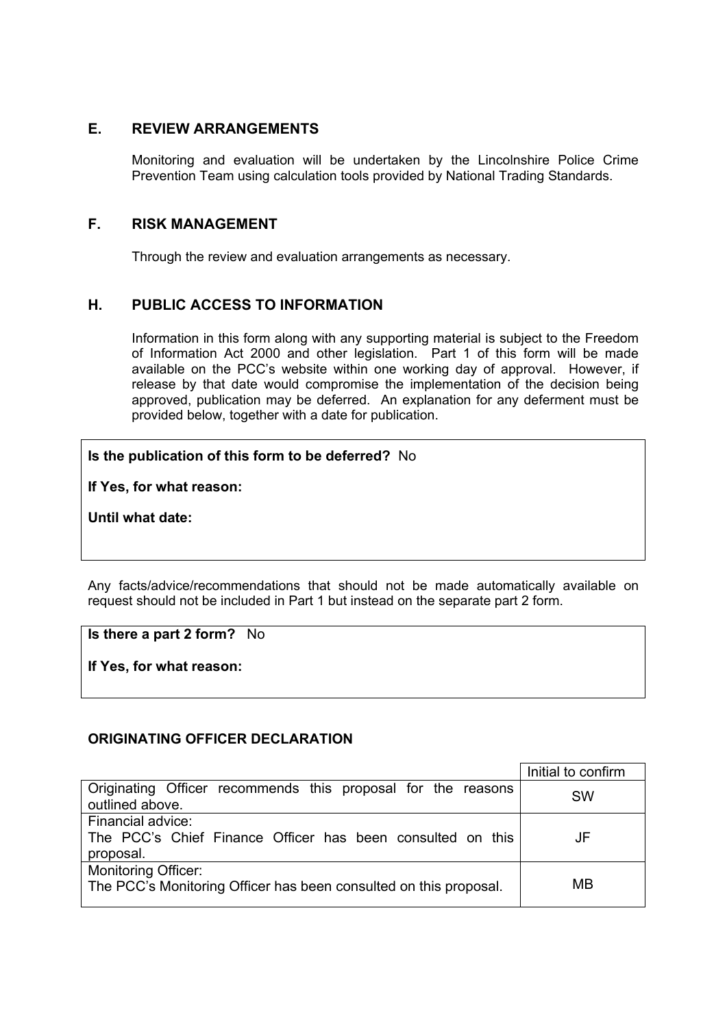# **E. REVIEW ARRANGEMENTS**

Monitoring and evaluation will be undertaken by the Lincolnshire Police Crime Prevention Team using calculation tools provided by National Trading Standards.

#### **F. RISK MANAGEMENT**

Through the review and evaluation arrangements as necessary.

# **H. PUBLIC ACCESS TO INFORMATION**

Information in this form along with any supporting material is subject to the Freedom of Information Act 2000 and other legislation. Part 1 of this form will be made available on the PCC's website within one working day of approval. However, if release by that date would compromise the implementation of the decision being approved, publication may be deferred. An explanation for any deferment must be provided below, together with a date for publication.

#### **Is the publication of this form to be deferred?** No

**If Yes, for what reason:** 

**Until what date:** 

Any facts/advice/recommendations that should not be made automatically available on request should not be included in Part 1 but instead on the separate part 2 form.

**Is there a part 2 form?** No

**If Yes, for what reason:** 

#### **ORIGINATING OFFICER DECLARATION**

|                                                                   | Initial to confirm |
|-------------------------------------------------------------------|--------------------|
| Originating Officer recommends this proposal for the reasons      | <b>SW</b>          |
| outlined above.                                                   |                    |
| Financial advice:                                                 |                    |
| The PCC's Chief Finance Officer has been consulted on this        | JF                 |
| proposal.                                                         |                    |
| <b>Monitoring Officer:</b>                                        |                    |
| The PCC's Monitoring Officer has been consulted on this proposal. | MB                 |
|                                                                   |                    |